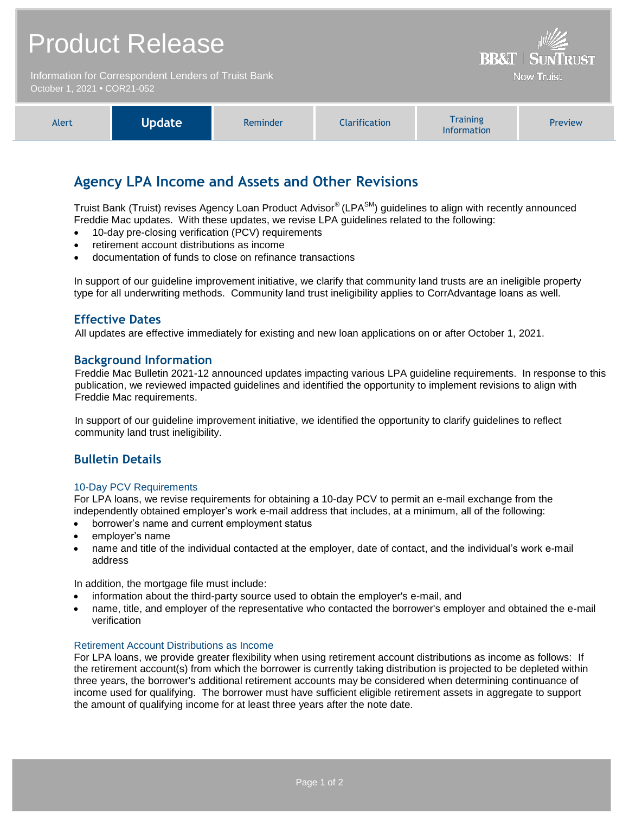## Product Release

Information for Correspondent Lenders of Truist Bank October 1, 2021 **•** COR21-052



**BR&T** 

**Now Truist** 

## **Agency LPA Income and Assets and Other Revisions**

Truist Bank (Truist) revises Agency Loan Product Advisor® (LPA<sup>SM</sup>) guidelines to align with recently announced Freddie Mac updates. With these updates, we revise LPA guidelines related to the following:

- 10-day pre-closing verification (PCV) requirements
- retirement account distributions as income
- documentation of funds to close on refinance transactions

In support of our guideline improvement initiative, we clarify that community land trusts are an ineligible property type for all underwriting methods. Community land trust ineligibility applies to CorrAdvantage loans as well.

## **Effective Dates**

All updates are effective immediately for existing and new loan applications on or after October 1, 2021.

## **Background Information**

Freddie Mac Bulletin 2021-12 announced updates impacting various LPA guideline requirements. In response to this publication, we reviewed impacted guidelines and identified the opportunity to implement revisions to align with Freddie Mac requirements.

In support of our guideline improvement initiative, we identified the opportunity to clarify guidelines to reflect community land trust ineligibility.

## **Bulletin Details**

#### 10-Day PCV Requirements

For LPA loans, we revise requirements for obtaining a 10-day PCV to permit an e-mail exchange from the independently obtained employer's work e-mail address that includes, at a minimum, all of the following:

- borrower's name and current employment status
- employer's name
- name and title of the individual contacted at the employer, date of contact, and the individual's work e-mail address

In addition, the mortgage file must include:

- information about the third-party source used to obtain the employer's e-mail, and
- name, title, and employer of the representative who contacted the borrower's employer and obtained the e-mail verification

#### Retirement Account Distributions as Income

For LPA loans, we provide greater flexibility when using retirement account distributions as income as follows: If the retirement account(s) from which the borrower is currently taking distribution is projected to be depleted within three years, the borrower's additional retirement accounts may be considered when determining continuance of income used for qualifying. The borrower must have sufficient eligible retirement assets in aggregate to support the amount of qualifying income for at least three years after the note date.